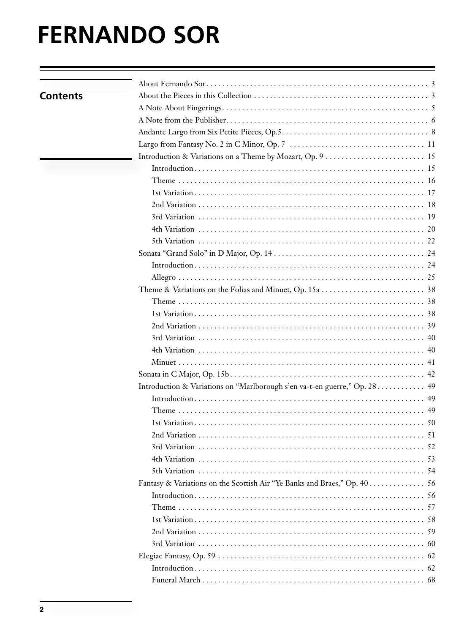# **FERNANDO SOR**

| <b>Contents</b> |                                                                           |  |
|-----------------|---------------------------------------------------------------------------|--|
|                 |                                                                           |  |
|                 |                                                                           |  |
|                 |                                                                           |  |
|                 |                                                                           |  |
|                 |                                                                           |  |
|                 |                                                                           |  |
|                 |                                                                           |  |
|                 |                                                                           |  |
|                 |                                                                           |  |
|                 |                                                                           |  |
|                 |                                                                           |  |
|                 |                                                                           |  |
|                 |                                                                           |  |
|                 |                                                                           |  |
|                 |                                                                           |  |
|                 |                                                                           |  |
|                 |                                                                           |  |
|                 |                                                                           |  |
|                 |                                                                           |  |
|                 |                                                                           |  |
|                 |                                                                           |  |
|                 |                                                                           |  |
|                 |                                                                           |  |
|                 | Introduction & Variations on "Marlborough s'en va-t-en guerre," Op. 28 49 |  |
|                 |                                                                           |  |
|                 |                                                                           |  |
|                 |                                                                           |  |
|                 |                                                                           |  |
|                 |                                                                           |  |
|                 |                                                                           |  |
|                 |                                                                           |  |
|                 | Fantasy & Variations on the Scottish Air "Ye Banks and Braes," Op. 40 56  |  |
|                 |                                                                           |  |
|                 |                                                                           |  |
|                 |                                                                           |  |
|                 |                                                                           |  |
|                 |                                                                           |  |
|                 |                                                                           |  |
|                 |                                                                           |  |
|                 |                                                                           |  |